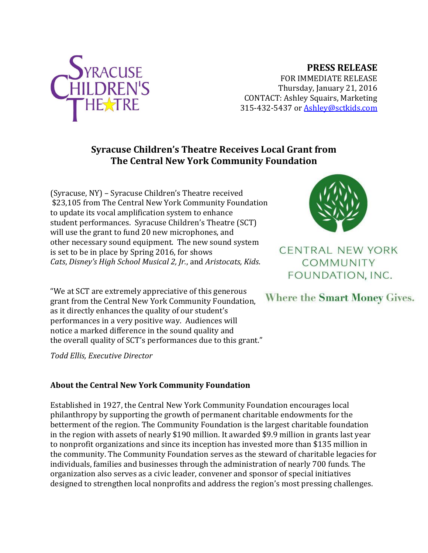

## **PRESS RELEASE**

FOR IMMEDIATE RELEASE Thursday, January 21, 2016 CONTACT: Ashley Squairs, Marketing 315-432-5437 or [Ashley@sctkids.com](mailto:Ashley@sctkids.com)

## **Syracuse Children's Theatre Receives Local Grant from The Central New York Community Foundation**

(Syracuse, NY) – Syracuse Children's Theatre received \$23,105 from The Central New York Community Foundation to update its vocal amplification system to enhance student performances. Syracuse Children's Theatre (SCT) will use the grant to fund 20 new microphones, and other necessary sound equipment. The new sound system is set to be in place by Spring 2016, for shows *Cats*, *Disney's High School Musical 2, Jr.*, and *Aristocats, Kids*.

"We at SCT are extremely appreciative of this generous grant from the Central New York Community Foundation, as it directly enhances the quality of our student's performances in a very positive way. Audiences will notice a marked difference in the sound quality and the overall quality of SCT's performances due to this grant."

*Todd Ellis, Executive Director*

## **About the Central New York Community Foundation**

Established in 1927, the Central New York Community Foundation encourages local philanthropy by supporting the growth of permanent charitable endowments for the betterment of the region. The Community Foundation is the largest charitable foundation in the region with assets of nearly \$190 million. It awarded \$9.9 million in grants last year to nonprofit organizations and since its inception has invested more than \$135 million in the community. The Community Foundation serves as the steward of charitable legacies for individuals, families and businesses through the administration of nearly 700 funds. The organization also serves as a civic leader, convener and sponsor of special initiatives designed to strengthen local nonprofits and address the region's most pressing challenges.



**CENTRAL NEW YORK** COMMUNITY FOUNDATION, INC.

Where the Smart Money Gives.